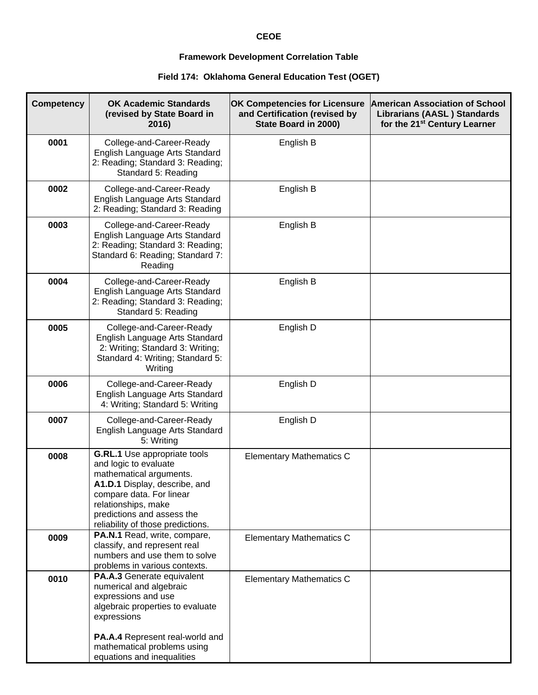## **CEOE**

## **Framework Development Correlation Table**

## **Field 174: Oklahoma General Education Test (OGET)**

| <b>Competency</b> | <b>OK Academic Standards</b><br>(revised by State Board in<br>2016)                                                                                                                                                                     | <b>OK Competencies for Licensure</b><br>and Certification (revised by<br>State Board in 2000) | <b>American Association of School</b><br><b>Librarians (AASL) Standards</b><br>for the 21 <sup>st</sup> Century Learner |
|-------------------|-----------------------------------------------------------------------------------------------------------------------------------------------------------------------------------------------------------------------------------------|-----------------------------------------------------------------------------------------------|-------------------------------------------------------------------------------------------------------------------------|
| 0001              | College-and-Career-Ready<br>English Language Arts Standard<br>2: Reading; Standard 3: Reading;<br>Standard 5: Reading                                                                                                                   | English B                                                                                     |                                                                                                                         |
| 0002              | College-and-Career-Ready<br>English Language Arts Standard<br>2: Reading; Standard 3: Reading                                                                                                                                           | English B                                                                                     |                                                                                                                         |
| 0003              | College-and-Career-Ready<br>English Language Arts Standard<br>2: Reading; Standard 3: Reading;<br>Standard 6: Reading; Standard 7:<br>Reading                                                                                           | English B                                                                                     |                                                                                                                         |
| 0004              | College-and-Career-Ready<br>English Language Arts Standard<br>2: Reading; Standard 3: Reading;<br>Standard 5: Reading                                                                                                                   | English B                                                                                     |                                                                                                                         |
| 0005              | College-and-Career-Ready<br>English Language Arts Standard<br>2: Writing; Standard 3: Writing;<br>Standard 4: Writing; Standard 5:<br>Writing                                                                                           | English D                                                                                     |                                                                                                                         |
| 0006              | College-and-Career-Ready<br>English Language Arts Standard<br>4: Writing; Standard 5: Writing                                                                                                                                           | English D                                                                                     |                                                                                                                         |
| 0007              | College-and-Career-Ready<br>English Language Arts Standard<br>5: Writing                                                                                                                                                                | English D                                                                                     |                                                                                                                         |
| 0008              | G.RL.1 Use appropriate tools<br>and logic to evaluate<br>mathematical arguments.<br>A1.D.1 Display, describe, and<br>compare data. For linear<br>relationships, make<br>predictions and assess the<br>reliability of those predictions. | <b>Elementary Mathematics C</b>                                                               |                                                                                                                         |
| 0009              | PA.N.1 Read, write, compare,<br>classify, and represent real<br>numbers and use them to solve<br>problems in various contexts.                                                                                                          | <b>Elementary Mathematics C</b>                                                               |                                                                                                                         |
| 0010              | PA.A.3 Generate equivalent<br>numerical and algebraic<br>expressions and use<br>algebraic properties to evaluate<br>expressions                                                                                                         | <b>Elementary Mathematics C</b>                                                               |                                                                                                                         |
|                   | PA.A.4 Represent real-world and<br>mathematical problems using<br>equations and inequalities                                                                                                                                            |                                                                                               |                                                                                                                         |